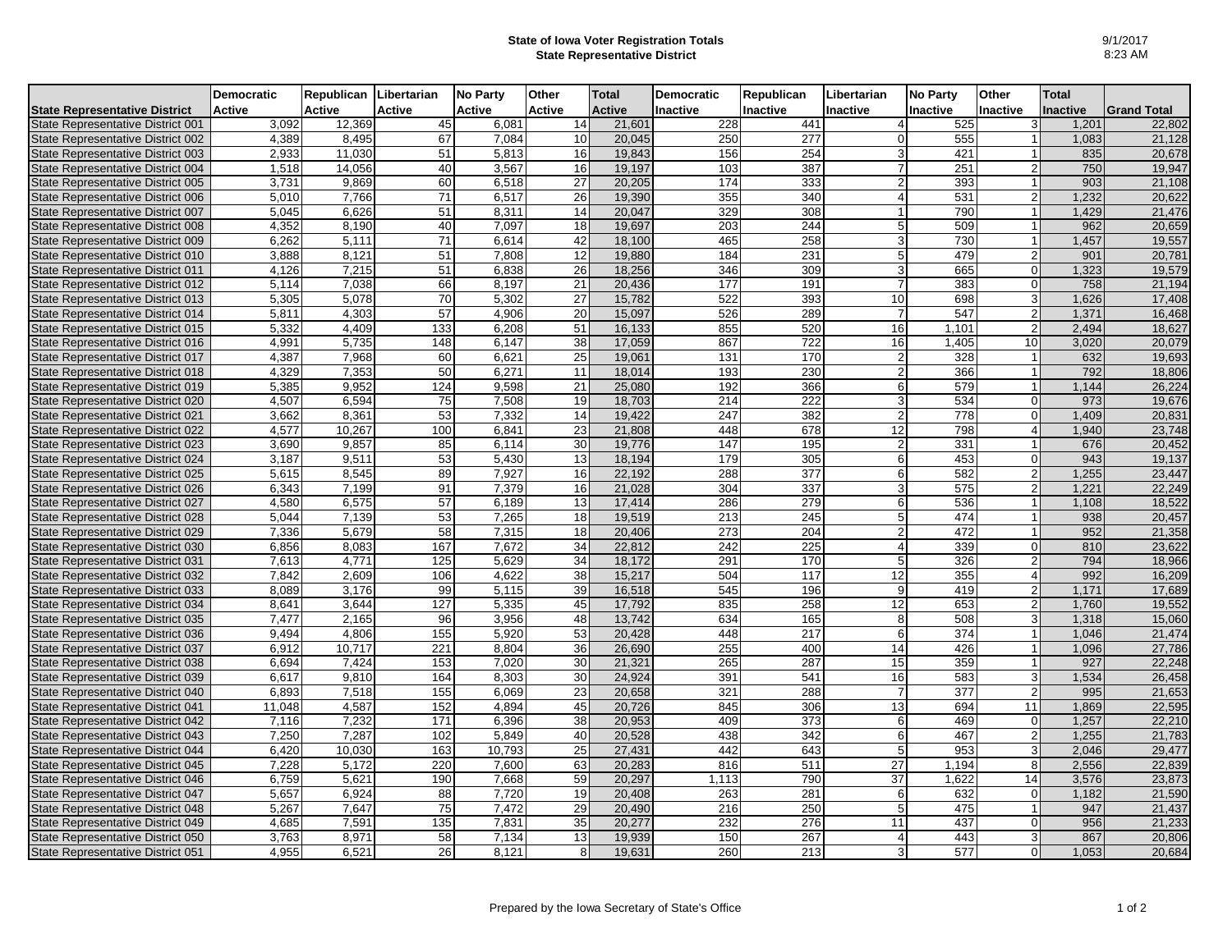## **State of Iowa Voter Registration Totals State Representative District**

|                                                                        | <b>Democratic</b> | Republican Libertarian |                 | <b>No Party</b> | Other         | <b>Total</b>  | <b>Democratic</b> | Republican       | Libertarian     | <b>No Party</b> | Other          | <b>Total</b>    |                    |
|------------------------------------------------------------------------|-------------------|------------------------|-----------------|-----------------|---------------|---------------|-------------------|------------------|-----------------|-----------------|----------------|-----------------|--------------------|
| <b>State Representative District</b>                                   | <b>Active</b>     | Active                 | <b>Active</b>   | <b>Active</b>   | <b>Active</b> | <b>Active</b> | <b>Inactive</b>   | <b>Inactive</b>  | <b>Inactive</b> | Inactive        | Inactive       | <b>Inactive</b> | <b>Grand Total</b> |
| State Representative District 001                                      | 3,092             | 12,369                 | 45              | 6,081           | 14            | 21,601        | 228               | 441              | $\overline{4}$  | 525             | 3              | 1,201           | 22,802             |
| State Representative District 002                                      | 4,389             | 8,495                  | 67              | 7,084           | 10            | 20,045        | 250               | 277              | $\mathbf 0$     | 555             |                | 1,083           | 21,128             |
| State Representative District 003                                      | 2,933             | 11,030                 | 51              | 5,813           | 16            | 19,843        | 156               | 254              | $\mathbf{3}$    | 421             |                | 835             | 20,678             |
| State Representative District 004                                      | 1,518             | 14,056                 | 40              | 3,567           | 16            | 19,197        | 103               | 387              | $\overline{7}$  | 251             | $\overline{2}$ | 750             | 19,947             |
| State Representative District 005                                      | 3,731             | 9,869                  | 60              | 6,518           | 27            | 20,205        | 174               | 333              | $\overline{c}$  | 393             |                | 903             | 21,108             |
| State Representative District 006                                      | 5,010             | 7,766                  | 71              | 6,517           | 26            | 19,390        | 355               | 340              | $\overline{4}$  | 531             |                | 1,232           | 20,622             |
| State Representative District 007                                      | 5,045             | 6,626                  | 51              | 8,311           | 14            | 20,047        | 329               | 308              | $\mathbf{1}$    | 790             |                | 1,429           | 21,476             |
| State Representative District 008                                      | 4,352             | 8,190                  | 40              | 7,097           | 18            | 19,697        | 203               | 244              | $5\overline{5}$ | 509             |                | 962             | 20,659             |
| State Representative District 009                                      | 6,262             | 5,111                  | 71              | 6,614           | 42            | 18,100        | 465               | 258              | 3               | 730             |                | 1,457           | 19,557             |
| State Representative District 010                                      | 3,888             | 8,121                  | 51              | 7,808           | 12            | 19,880        | 184               | 231              | $5\phantom{.0}$ | 479             |                | 901             | 20,781             |
| State Representative District 011                                      | 4,126             | 7,215                  | 51              | 6,838           | 26            | 18,256        | 346               | 309              | 3               | 665             | $\Omega$       | 1,323           | 19,579             |
| State Representative District 012                                      | 5,114             | 7,038                  | 66              | 8,197           | 21            | 20,436        | 177               | 191              | $\overline{7}$  | 383             | $\Omega$       | 758             | 21,194             |
| State Representative District 013                                      | 5,305             | 5,078                  | 70              | 5,302           | 27            | 15,782        | 522               | 393              | 10              | 698             |                | 1,626           | 17,408             |
| State Representative District 014                                      | 5,811             | 4,303                  | 57              | 4,906           | 20            | 15,097        | 526               | 289              | $\overline{7}$  | 547             | $\overline{2}$ | 1,371           | 16,468             |
| State Representative District 015                                      | 5,332             | 4,409                  | 133             | 6,208           | 51            | 16,133        | 855               | 520              | 16              | 1,101           | $\overline{2}$ | 2,494           | 18,627             |
| State Representative District 016                                      | 4,991             | 5,735                  | 148             | 6,147           | 38            | 17,059        | 867               | $\overline{722}$ | 16              | 1,405           | 10             | 3,020           | 20,079             |
| State Representative District 017                                      | 4,387             | 7,968                  | 60              | 6,621           | 25            | 19,061        | 131               | 170              | $\overline{c}$  | 328             |                | 632             | 19,693             |
| State Representative District 018                                      | 4.329             | 7,353                  | 50              | 6.271           | 11            | 18,014        | 193               | 230              | $\overline{2}$  | 366             |                | 792             | 18,806             |
| State Representative District 019                                      | 5,385             | 9,952                  | 124             | 9,598           | 21            | 25,080        | 192               | 366              | 6               | 579             |                | 1,144           | 26,224             |
| State Representative District 020                                      | 4,507             | 6,594                  | 75              | 7,508           | 19            | 18,703        | 214               | 222              | 3               | 534             | $\Omega$       | 973             | 19,676             |
| State Representative District 021                                      | 3,662             | 8,361                  | 53              | 7,332           | 14            | 19,422        | 247               | 382              | 2               | 778             | $\Omega$       | 1,409           | 20,831             |
| State Representative District 022                                      | 4,577             | 10,267                 | 100             | 6,841           | 23            | 21,808        | 448               | 678              | 12              | 798             | 4              | 1,940           | 23,748             |
| State Representative District 023                                      | 3,690             | 9,857                  | 85              | 6,114           | 30            | 19,776        | 147               | 195              | 2               | 331             |                | 676             | 20,452             |
| State Representative District 024                                      | 3.187             | 9,511                  | 53              | 5.430           | 13            | 18,194        | 179               | 305              | 6               | 453             | $\Omega$       | 943             | 19,137             |
| State Representative District 025                                      | 5,615             | 8,545                  | 89              | 7,927           | 16            | 22,192        | 288               | 377              | 6               | 582             |                | 1,255           | 23,447             |
| State Representative District 026                                      | 6,343             | 7,199                  | 91              | 7,379           | 16            | 21,028        | 304               | 337              | $\mathbf{3}$    | 575             | 2              | 1,221           | 22,249             |
| State Representative District 027                                      | 4,580             | 6,575                  | 57              | 6,189           | 13            | 17,414        | 286               | 279              | 6               | 536             |                | 1,108           | 18,522             |
| State Representative District 028                                      | 5,044             | 7,139                  | 53              | 7,265           | 18            | 19,519        | 213               | 245              | $\,$ 5 $\,$     | 474             |                | 938             | 20,457             |
| State Representative District 029                                      | 7,336             | 5,679                  | 58              | 7,315           | 18            | 20,406        | 273               | 204              | 2               | 472             |                | 952             | 21,358             |
|                                                                        |                   | 8,083                  | 167             | 7,672           | 34            | 22,812        | 242               | 225              | $\overline{4}$  | 339             | $\Omega$       | 810             | 23,622             |
| State Representative District 030                                      | 6,856<br>7,613    | 4,771                  | 125             | 5,629           | 34            | 18,172        | 291               | 170              | 5               | 326             |                | 794             | 18,966             |
| State Representative District 031<br>State Representative District 032 | 7,842             | 2,609                  |                 | 4,622           | 38            | 15,217        | 504               | 117              |                 |                 |                | 992             |                    |
| State Representative District 033                                      | 8,089             | 3,176                  | 106<br>99       | 5,115           | 39            | 16,518        | 545               | 196              | 12<br>$9\,$     | 355<br>419      |                | 1,171           | 16,209<br>17,689   |
|                                                                        |                   |                        |                 |                 |               |               |                   |                  |                 |                 |                |                 |                    |
| State Representative District 034                                      | 8,641             | 3,644                  | 127             | 5,335           | 45            | 17,792        | 835               | 258              | 12              | 653             | $\overline{2}$ | 1,760           | 19,552             |
| State Representative District 035                                      | 7,477             | 2,165<br>4,806         | 96<br>155       | 3,956           | 48            | 13,742        | 634<br>448        | 165<br>217       | 8<br>6          | 508<br>374      |                | 1,318           | 15,060             |
| State Representative District 036                                      | 9,494             | 10.717                 |                 | 5,920<br>8.804  | 53            | 20,428        | 255               |                  | 14              |                 |                | 1,046           | 21,474             |
| State Representative District 037                                      | 6,912             |                        | 221             |                 | 36            | 26,690        |                   | 400              |                 | 426             |                | 1,096           | 27,786             |
| State Representative District 038                                      | 6,694             | 7,424                  | 153             | 7,020           | 30            | 21,321        | 265               | 287              | 15              | 359             |                | 927             | 22,248             |
| State Representative District 039                                      | 6,617             | 9,810                  | 164             | 8,303           | 30            | 24,924        | 391               | 541              | 16              | 583             | 3              | 1,534           | 26,458             |
| State Representative District 040                                      | 6,893             | 7,518                  | 155             | 6,069           | 23            | 20,658        | 321               | 288              | $\overline{7}$  | 377             | $\overline{2}$ | 995             | 21,653             |
| State Representative District 041                                      | 11,048            | 4,587                  | 152             | 4.894           | 45            | 20,726        | 845               | 306              | $\overline{13}$ | 694             | 11             | 1,869           | 22,595             |
| State Representative District 042                                      | 7,116             | 7,232                  | 171             | 6,396           | 38            | 20,953        | 409               | 373              | 6               | 469             | $\mathbf 0$    | 1,257           | 22,210             |
| State Representative District 043                                      | 7,250             | 7.287                  | 102             | 5.849           | 40            | 20,528        | 438               | 342              | 6               | 467             | $\overline{2}$ | 1,255           | 21,783             |
| State Representative District 044                                      | 6,420             | 10,030                 | 163             | 10,793          | 25            | 27,431        | 442               | 643              | $5\phantom{.0}$ | 953             | 3              | 2,046           | 29,477             |
| State Representative District 045                                      | 7,228             | 5,172                  | 220             | 7,600           | 63            | 20,283        | 816               | 511              | $\overline{27}$ | 1,194           | 8              | 2,556           | 22,839             |
| State Representative District 046                                      | 6,759             | 5,621                  | 190             | 7,668           | 59            | 20,297        | 1,113             | 790              | $\overline{37}$ | 1,622           | 14             | 3,576           | 23,873             |
| State Representative District 047                                      | 5,657             | 6.924                  | 88              | 7.720           | 19            | 20.408        | 263               | 281              | 6               | 632             | $\Omega$       | 1,182           | 21,590             |
| State Representative District 048                                      | 5,267             | 7,647                  | $\overline{75}$ | 7,472           | 29            | 20,490        | $\overline{216}$  | 250              | 5               | 475             |                | 947             | 21,437             |
| State Representative District 049                                      | 4,685             | 7,591                  | 135             | 7,831           | 35            | 20,277        | 232               | 276              | 11              | 437             | $\Omega$       | 956             | 21,233             |
| State Representative District 050                                      | 3,763             | 8,971                  | 58              | 7,134           | 13            | 19,939        | 150               | 267              | $\overline{4}$  | 443             |                | 867             | 20,806             |
| State Representative District 051                                      | 4,955             | 6,521                  | 26              | 8,121           | 8             | 19,631        | 260               | 213              | 3               | 577             | $\Omega$       | 1,053           | 20,684             |